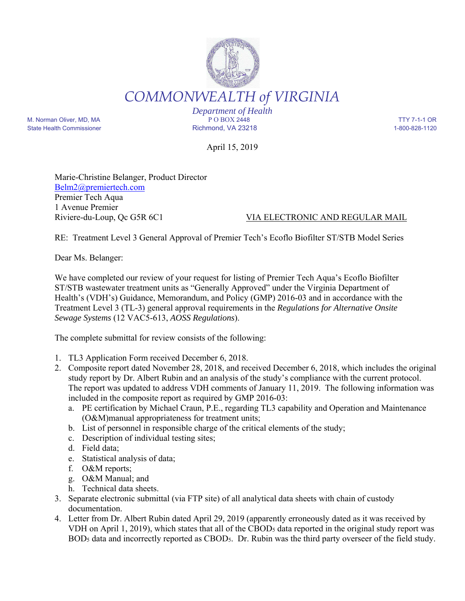## *COMMONWEALTH of VIRGINIA*

*Department of Health* M. Norman Oliver, MD, MA P O BOX 2448 TTY 7-1-1 OR State Health Commissioner and the Richmond, VA 23218 1-800-828-1120

April 15, 2019

Marie-Christine Belanger, Product Director Belm2@premiertech.com Premier Tech Aqua 1 Avenue Premier

## Riviere-du-Loup, Qc G5R 6C1 VIA ELECTRONIC AND REGULAR MAIL

RE: Treatment Level 3 General Approval of Premier Tech's Ecoflo Biofilter ST/STB Model Series

Dear Ms. Belanger:

We have completed our review of your request for listing of Premier Tech Aqua's Ecoflo Biofilter ST/STB wastewater treatment units as "Generally Approved" under the Virginia Department of Health's (VDH's) Guidance, Memorandum, and Policy (GMP) 2016-03 and in accordance with the Treatment Level 3 (TL-3) general approval requirements in the *Regulations for Alternative Onsite Sewage Systems* (12 VAC5-613, *AOSS Regulations*).

The complete submittal for review consists of the following:

- 1. TL3 Application Form received December 6, 2018.
- 2. Composite report dated November 28, 2018, and received December 6, 2018, which includes the original study report by Dr. Albert Rubin and an analysis of the study's compliance with the current protocol. The report was updated to address VDH comments of January 11, 2019. The following information was included in the composite report as required by GMP 2016-03:
	- a. PE certification by Michael Craun, P.E., regarding TL3 capability and Operation and Maintenance (O&M)manual appropriateness for treatment units;
	- b. List of personnel in responsible charge of the critical elements of the study;
	- c. Description of individual testing sites;
	- d. Field data;
	- e. Statistical analysis of data;
	- f. O&M reports;
	- g. O&M Manual; and
	- h. Technical data sheets.
- 3. Separate electronic submittal (via FTP site) of all analytical data sheets with chain of custody documentation.
- 4. Letter from Dr. Albert Rubin dated April 29, 2019 (apparently erroneously dated as it was received by VDH on April 1, 2019), which states that all of the CBOD<sub>5</sub> data reported in the original study report was BOD5 data and incorrectly reported as CBOD5. Dr. Rubin was the third party overseer of the field study.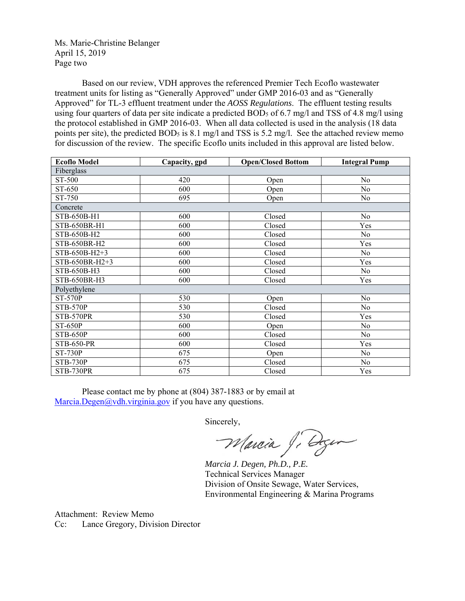Ms. Marie-Christine Belanger April 15, 2019 Page two

Based on our review, VDH approves the referenced Premier Tech Ecoflo wastewater treatment units for listing as "Generally Approved" under GMP 2016-03 and as "Generally Approved" for TL-3 effluent treatment under the *AOSS Regulations*. The effluent testing results using four quarters of data per site indicate a predicted BOD<sub>5</sub> of 6.7 mg/l and TSS of 4.8 mg/l using the protocol established in GMP 2016-03. When all data collected is used in the analysis (18 data points per site), the predicted BOD<sub>5</sub> is 8.1 mg/l and TSS is 5.2 mg/l. See the attached review memo for discussion of the review. The specific Ecoflo units included in this approval are listed below.

| <b>Ecoflo Model</b> | Capacity, gpd | <b>Open/Closed Bottom</b> | <b>Integral Pump</b> |  |  |
|---------------------|---------------|---------------------------|----------------------|--|--|
| Fiberglass          |               |                           |                      |  |  |
| ST-500              | 420           | Open                      | No                   |  |  |
| ST-650              | 600           | Open                      | No                   |  |  |
| ST-750              | 695           | Open                      | No                   |  |  |
| Concrete            |               |                           |                      |  |  |
| STB-650B-H1         | 600           | Closed                    | No                   |  |  |
| STB-650BR-H1        | 600           | Closed                    | Yes                  |  |  |
| STB-650B-H2         | 600           | Closed                    | No                   |  |  |
| STB-650BR-H2        | 600           | Closed                    | Yes                  |  |  |
| STB-650B-H2+3       | 600           | Closed                    | No                   |  |  |
| STB-650BR-H2+3      | 600           | Closed                    | Yes                  |  |  |
| STB-650B-H3         | 600           | Closed                    | N <sub>o</sub>       |  |  |
| STB-650BR-H3        | 600           | Closed                    | Yes                  |  |  |
| Polyethylene        |               |                           |                      |  |  |
| $ST-570P$           | 530           | Open                      | No                   |  |  |
| <b>STB-570P</b>     | 530           | Closed                    | N <sub>o</sub>       |  |  |
| STB-570PR           | 530           | Closed                    | Yes                  |  |  |
| <b>ST-650P</b>      | 600           | Open                      | No                   |  |  |
| STB-650P            | 600           | Closed                    | No                   |  |  |
| <b>STB-650-PR</b>   | 600           | Closed                    | Yes                  |  |  |
| <b>ST-730P</b>      | 675           | Open                      | No                   |  |  |
| <b>STB-730P</b>     | 675           | Closed                    | No                   |  |  |
| STB-730PR           | 675           | Closed                    | Yes                  |  |  |

Please contact me by phone at (804) 387-1883 or by email at Marcia.Degen@vdh.virginia.gov if you have any questions.

Sincerely,

*Marcia J. Degen, Ph.D., P.E.* 

Technical Services Manager Division of Onsite Sewage, Water Services, Environmental Engineering & Marina Programs

Attachment: Review Memo Cc: Lance Gregory, Division Director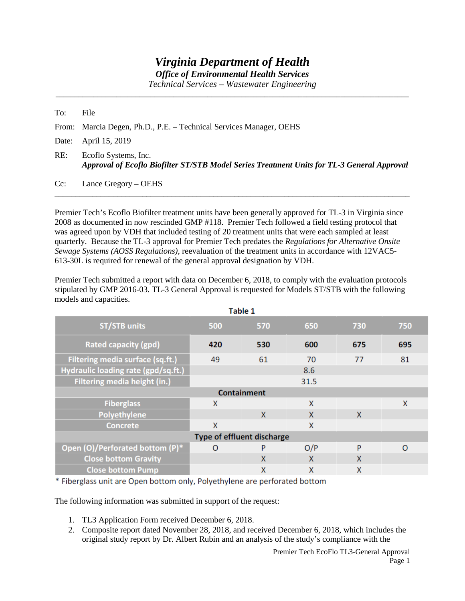## *Virginia Department of Health*

*Office of Environmental Health Services*

*Technical Services – Wastewater Engineering* \_\_\_\_\_\_\_\_\_\_\_\_\_\_\_\_\_\_\_\_\_\_\_\_\_\_\_\_\_\_\_\_\_\_\_\_\_\_\_\_\_\_\_\_\_\_\_\_\_\_\_\_\_\_\_\_\_\_\_\_\_\_\_\_\_\_\_\_\_\_\_\_\_\_\_\_\_\_\_\_\_\_\_\_\_\_\_\_\_\_\_\_\_

To: File From: Marcia Degen, Ph.D., P.E. – Technical Services Manager, OEHS Date: April 15, 2019 RE: Ecoflo Systems, Inc. *Approval of Ecoflo Biofilter ST/STB Model Series Treatment Units for TL-3 General Approval* 

Cc: Lance Gregory – OEHS

Premier Tech's Ecoflo Biofilter treatment units have been generally approved for TL-3 in Virginia since 2008 as documented in now rescinded GMP #118. Premier Tech followed a field testing protocol that was agreed upon by VDH that included testing of 20 treatment units that were each sampled at least quarterly. Because the TL-3 approval for Premier Tech predates the *Regulations for Alternative Onsite Sewage Systems (AOSS Regulations)*, reevaluation of the treatment units in accordance with 12VAC5- 613-30L is required for renewal of the general approval designation by VDH.

\_\_\_\_\_\_\_\_\_\_\_\_\_\_\_\_\_\_\_\_\_\_\_\_\_\_\_\_\_\_\_\_\_\_\_\_\_\_\_\_\_\_\_\_\_\_\_\_\_\_\_\_\_\_\_\_\_\_\_\_\_\_\_\_\_\_\_\_\_\_\_\_\_\_\_\_\_\_\_\_\_\_\_\_\_

Premier Tech submitted a report with data on December 6, 2018, to comply with the evaluation protocols stipulated by GMP 2016-03. TL-3 General Approval is requested for Models ST/STB with the following models and capacities.

| Table 1                             |          |     |     |     |          |  |  |
|-------------------------------------|----------|-----|-----|-----|----------|--|--|
| <b>ST/STB units</b>                 | 500      | 570 | 650 | 730 | 750      |  |  |
| <b>Rated capacity (gpd)</b>         | 420      | 530 | 600 | 675 | 695      |  |  |
| Filtering media surface (sq.ft.)    | 49       | 61  | 70  | 77  | 81       |  |  |
| Hydraulic loading rate (gpd/sq.ft.) | 8.6      |     |     |     |          |  |  |
| <b>Filtering media height (in.)</b> | 31.5     |     |     |     |          |  |  |
| <b>Containment</b>                  |          |     |     |     |          |  |  |
| <b>Fiberglass</b>                   | X        |     | X   |     | X        |  |  |
| Polyethylene                        |          | X   | X   | X   |          |  |  |
| <b>Concrete</b>                     | X        |     | X   |     |          |  |  |
| Type of effluent discharge          |          |     |     |     |          |  |  |
| Open (O)/Perforated bottom (P)*     | $\Omega$ | P   | O/P | P   | $\Omega$ |  |  |
| <b>Close bottom Gravity</b>         |          | X   | X   | X   |          |  |  |
| <b>Close bottom Pump</b>            |          | X   | X   | X   |          |  |  |

\* Fiberglass unit are Open bottom only, Polyethylene are perforated bottom

The following information was submitted in support of the request:

- 1. TL3 Application Form received December 6, 2018.
- 2. Composite report dated November 28, 2018, and received December 6, 2018, which includes the original study report by Dr. Albert Rubin and an analysis of the study's compliance with the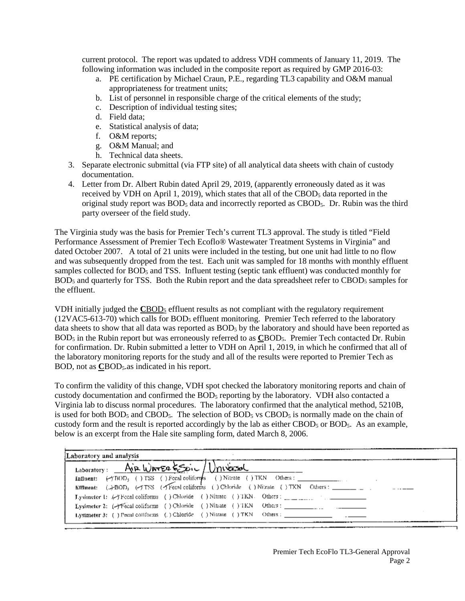current protocol. The report was updated to address VDH comments of January 11, 2019. The following information was included in the composite report as required by GMP 2016-03:

- a. PE certification by Michael Craun, P.E., regarding TL3 capability and O&M manual appropriateness for treatment units;
- b. List of personnel in responsible charge of the critical elements of the study;
- c. Description of individual testing sites;
- d. Field data;
- e. Statistical analysis of data;
- f. O&M reports;
- g. O&M Manual; and
- h. Technical data sheets.
- 3. Separate electronic submittal (via FTP site) of all analytical data sheets with chain of custody documentation.
- 4. Letter from Dr. Albert Rubin dated April 29, 2019, (apparently erroneously dated as it was received by VDH on April 1, 2019), which states that all of the CBOD $_5$  data reported in the original study report was  $BOD<sub>5</sub>$  data and incorrectly reported as  $CBOD<sub>5</sub>$ . Dr. Rubin was the third party overseer of the field study.

The Virginia study was the basis for Premier Tech's current TL3 approval. The study is titled "Field Performance Assessment of Premier Tech Ecoflo® Wastewater Treatment Systems in Virginia" and dated October 2007. A total of 21 units were included in the testing, but one unit had little to no flow and was subsequently dropped from the test. Each unit was sampled for 18 months with monthly effluent samples collected for BOD<sub>5</sub> and TSS. Influent testing (septic tank effluent) was conducted monthly for BOD<sub>5</sub> and quarterly for TSS. Both the Rubin report and the data spreadsheet refer to CBOD<sub>5</sub> samples for the effluent.

VDH initially judged the **C**BOD5 effluent results as not compliant with the regulatory requirement  $(12VAC5-613-70)$  which calls for BOD<sub>5</sub> effluent monitoring. Premier Tech referred to the laboratory data sheets to show that all data was reported as BOD<sub>5</sub> by the laboratory and should have been reported as BOD5 in the Rubin report but was erroneously referred to as **C**BOD5. Premier Tech contacted Dr. Rubin for confirmation. Dr. Rubin submitted a letter to VDH on April 1, 2019, in which he confirmed that all of the laboratory monitoring reports for the study and all of the results were reported to Premier Tech as BOD, not as CBOD<sub>5</sub>.as indicated in his report.

To confirm the validity of this change, VDH spot checked the laboratory monitoring reports and chain of custody documentation and confirmed the  $BOD<sub>5</sub>$  reporting by the laboratory. VDH also contacted a Virginia lab to discuss normal procedures. The laboratory confirmed that the analytical method, 5210B, is used for both BOD<sub>5</sub> and CBOD<sub>5</sub>. The selection of BOD<sub>5</sub> vs CBOD<sub>5</sub> is normally made on the chain of custody form and the result is reported accordingly by the lab as either CBOD<sub>5</sub> or BOD<sub>5</sub>. As an example, below is an excerpt from the Hale site sampling form, dated March 8, 2006.

| Laboratory: Air WATER ESOIL Universal<br>Effluent: (.)-BOD, (-)TSS (Trecal coliforms ( ) Chloride ( ) Nitrate ( ) TKN Others : _____ |
|--------------------------------------------------------------------------------------------------------------------------------------|
|                                                                                                                                      |
|                                                                                                                                      |
|                                                                                                                                      |
| <b>Lysimeter 1:</b> $\mathcal{L}$ + Fecal coliforms () Chloride () Nitrate () TKN. Others :                                          |
| Lysimeter 2: (-)Fecal coliforms ( ) Chloride ( ) Nitrate ( ) TKN Others :                                                            |
| Lysimeter 3: ( ) Fecal coliforms ( ) Chloride ( ) Nitrate ( ) TKN Others :                                                           |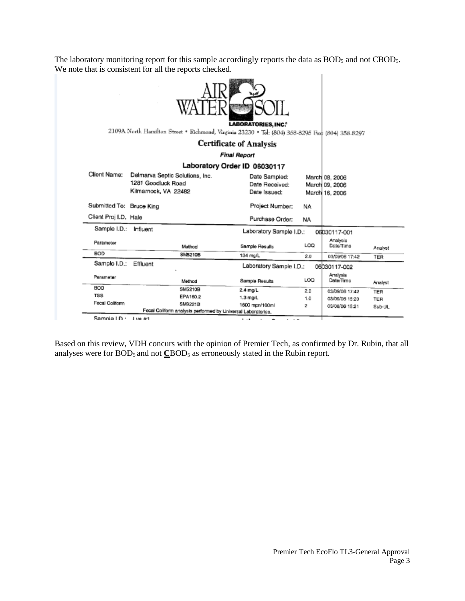The laboratory monitoring report for this sample accordingly reports the data as BOD<sub>5</sub> and not CBOD<sub>5</sub>. We note that is consistent for all the reports checked.  $\mathbf{L}$ 

|                          | 2109A North Hamilton Stroot . Richmond, Virginia 23230 . Tel: (804) 358-8295 Fax: (804) 358-8297 | <b>LABORATORIES, INC.*</b>                      |            |                                                    |            |
|--------------------------|--------------------------------------------------------------------------------------------------|-------------------------------------------------|------------|----------------------------------------------------|------------|
|                          |                                                                                                  | <b>Certificate of Analysis</b>                  |            |                                                    |            |
|                          |                                                                                                  | Final Report                                    |            |                                                    |            |
|                          | Laboratory Order ID 06030117                                                                     |                                                 |            |                                                    |            |
| Client Name:             | Delmarva Septic Solutions, Inc.<br>1281 Goodluck Road<br>Kilmamock, VA 22482                     | Date Sampled:<br>Date Received:<br>Date Issued: |            | March 08, 2006<br>March 09, 2006<br>March 16, 2006 |            |
| Submitted To: Bruce King |                                                                                                  | Project Number:                                 | NA.        |                                                    |            |
| Client Proj I.D. Hale    |                                                                                                  | Purchase Order:                                 | <b>NA</b>  |                                                    |            |
| Sample I.D.:             | Influent                                                                                         | Laboratory Sample I.D.:                         |            | 06030117-001                                       |            |
| Parameter                | Mathod                                                                                           | Sample Results                                  | LOO        | Analysis<br>Date/Timo                              | Analyst    |
| <b>BOD</b>               | SM5210B                                                                                          | 134 mg/L                                        | 2.0        | 03/09/06 17:42                                     | <b>TER</b> |
| Sample I.D.:             | Effluent                                                                                         | Laboratory Sample I.D.:                         |            | 06030117-002                                       |            |
| Parameter                | Method                                                                                           | Sample Results                                  | <b>LOG</b> | Analysis<br>Date/Time                              | Analyst    |
| BOD                      | <b>SM5210B</b>                                                                                   | 2.4 mg/L                                        | 2.0        | 03/09/06 17:42                                     | TER        |
| <b>TSS</b>               | EPA160.2                                                                                         | $1.3 \text{ mpl}$                               | 1.0        | 03/09/08 15:20                                     | TER        |
| Fecal Colltorm           | SM9221B                                                                                          | 1600 mpn/100ml                                  | 2          | 03/08/06 15:21                                     | Sub-UL     |
|                          | Fecal Coliform analysis performed by Universal Laboratories.                                     |                                                 |            |                                                    |            |
| Samnia I D -             | 1 140 441                                                                                        | <b>B</b> 1979.                                  |            |                                                    |            |

Based on this review, VDH concurs with the opinion of Premier Tech, as confirmed by Dr. Rubin, that all analyses were for BOD<sub>5</sub> and not **C**BOD<sub>5</sub> as erroneously stated in the Rubin report.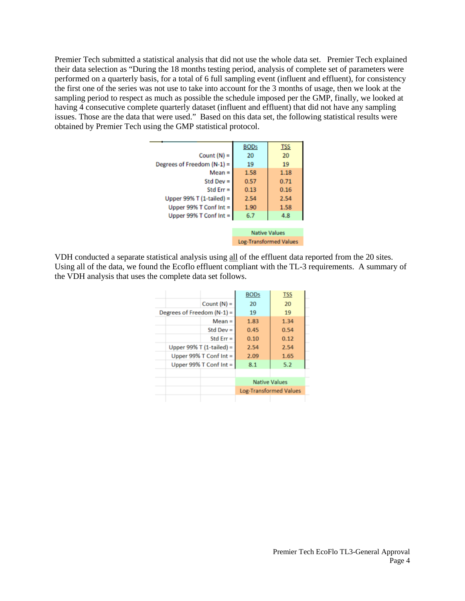Premier Tech submitted a statistical analysis that did not use the whole data set. Premier Tech explained their data selection as "During the 18 months testing period, analysis of complete set of parameters were performed on a quarterly basis, for a total of 6 full sampling event (influent and effluent), for consistency the first one of the series was not use to take into account for the 3 months of usage, then we look at the sampling period to respect as much as possible the schedule imposed per the GMP, finally, we looked at having 4 consecutive complete quarterly dataset (influent and effluent) that did not have any sampling issues. Those are the data that were used." Based on this data set, the following statistical results were obtained by Premier Tech using the GMP statistical protocol.

|                              | <b>BODs</b> | <b>TSS</b>                    |
|------------------------------|-------------|-------------------------------|
| Count $(N)$ =                | 20          | 20                            |
| Degrees of Freedom $(N-1)$ = | 19          | 19                            |
| $Mean =$                     | 1.58        | 1.18                          |
| Std Dev $=$                  | 0.57        | 0.71                          |
| Std Err $=$                  | 0.13        | 0.16                          |
| Upper 99% T (1-tailed) =     | 2.54        | 2.54                          |
| Upper 99% T Conf Int =       | 1.90        | 1.58                          |
| Upper 99% $T$ Conf Int =     | 6.7         | 4.8                           |
|                              |             |                               |
|                              |             | <b>Native Values</b>          |
|                              |             | <b>Log-Transformed Values</b> |
|                              |             |                               |

VDH conducted a separate statistical analysis using all of the effluent data reported from the 20 sites. Using all of the data, we found the Ecoflo effluent compliant with the TL-3 requirements. A summary of the VDH analysis that uses the complete data set follows.

|                              | BOD <sub>5</sub>              | <b>TSS</b> |
|------------------------------|-------------------------------|------------|
| Count $(N)$ =                | 20                            | 20         |
| Degrees of Freedom $(N-1)$ = | 19                            | 19         |
| $Mean =$                     | 1.83                          | 1.34       |
| Std Dev $=$                  | 0.45                          | 0.54       |
| Std Err $=$                  | 0.10                          | 0.12       |
| Upper 99% T $(1$ -tailed) =  | 2.54                          | 2.54       |
| Upper 99% $T$ Conf Int =     | 2.09                          | 1.65       |
| Upper 99% T Conf Int =       | 8.1                           | 5.2        |
|                              |                               |            |
|                              | <b>Native Values</b>          |            |
|                              | <b>Log-Transformed Values</b> |            |
|                              |                               |            |